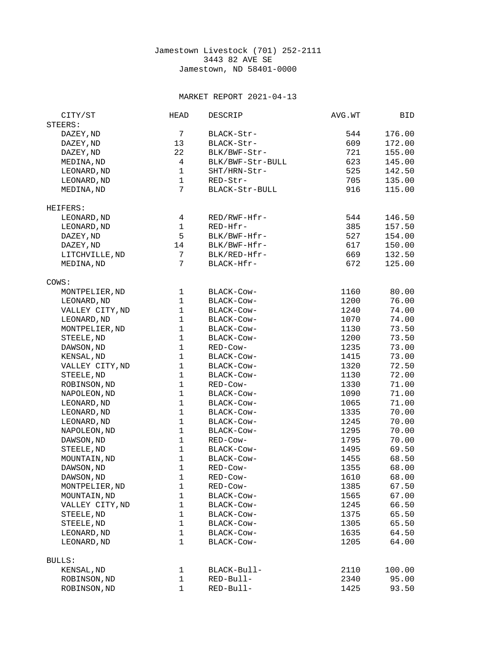## Jamestown Livestock (701) 252-2111 3443 82 AVE SE Jamestown, ND 58401-0000

## MARKET REPORT 2021-04-13

| CITY/ST         | <b>HEAD</b>    | DESCRIP          | AVG.WT | BID    |
|-----------------|----------------|------------------|--------|--------|
| STEERS:         |                |                  |        |        |
| DAZEY, ND       | $\overline{7}$ | BLACK-Str-       | 544    | 176.00 |
| DAZEY, ND       | 13             | BLACK-Str-       | 609    | 172.00 |
| DAZEY, ND       | 22             | BLK/BWF-Str-     | 721    | 155.00 |
| MEDINA, ND      | 4              | BLK/BWF-Str-BULL | 623    | 145.00 |
| LEONARD, ND     | $\mathbf{1}$   | SHT/HRN-Str-     | 525    | 142.50 |
| LEONARD, ND     | $\mathbf{1}$   | RED-Str-         | 705    | 135.00 |
| MEDINA, ND      | $\overline{7}$ | BLACK-Str-BULL   | 916    | 115.00 |
|                 |                |                  |        |        |
| HEIFERS:        |                |                  |        |        |
| LEONARD, ND     | 4              | RED/RWF-Hfr-     | 544    | 146.50 |
| LEONARD, ND     | $\mathbf{1}$   | $RED-Hfr$ -      | 385    | 157.50 |
| DAZEY, ND       | 5              | BLK/BWF-Hfr-     | 527    | 154.00 |
| DAZEY, ND       | 14             | BLK/BWF-Hfr-     | 617    | 150.00 |
| LITCHVILLE, ND  | $\overline{7}$ | BLK/RED-Hfr-     | 669    | 132.50 |
| MEDINA, ND      | $\overline{7}$ | BLACK-Hfr-       | 672    | 125.00 |
| COWS:           |                |                  |        |        |
| MONTPELIER, ND  | $\mathbf 1$    | BLACK-Cow-       | 1160   | 80.00  |
| LEONARD, ND     | $\mathbf{1}$   | BLACK-Cow-       | 1200   | 76.00  |
| VALLEY CITY, ND | $\mathbf{1}$   | BLACK-COW-       | 1240   | 74.00  |
| LEONARD, ND     | $\mathbf{1}$   | BLACK-Cow-       | 1070   | 74.00  |
| MONTPELIER, ND  | 1              | BLACK-Cow-       | 1130   | 73.50  |
| STEELE, ND      | $\mathbf{1}$   | BLACK-Cow-       | 1200   | 73.50  |
| DAWSON, ND      | $\mathbf{1}$   | RED-Cow-         | 1235   | 73.00  |
| KENSAL, ND      | $\mathbf{1}$   | BLACK-COW-       | 1415   | 73.00  |
| VALLEY CITY, ND | $\mathbf{1}$   | BLACK-Cow-       | 1320   | 72.50  |
| STEELE, ND      | $\mathbf{1}$   | BLACK-COW-       | 1130   | 72.00  |
| ROBINSON, ND    | 1              | RED-Cow-         | 1330   | 71.00  |
| NAPOLEON, ND    | $\mathbf{1}$   | BLACK-COW-       | 1090   | 71.00  |
| LEONARD, ND     | $\mathbf{1}$   | BLACK-COW-       | 1065   | 71.00  |
| LEONARD, ND     | $\mathbf{1}$   | BLACK-Cow-       | 1335   | 70.00  |
| LEONARD, ND     | $\mathbf{1}$   | BLACK-COW-       | 1245   | 70.00  |
| NAPOLEON, ND    | $\mathbf{1}$   | BLACK-Cow-       | 1295   | 70.00  |
| DAWSON, ND      | $\mathbf{1}$   | RED-Cow-         | 1795   | 70.00  |
| STEELE, ND      | $\mathbf{1}$   | BLACK-Cow-       | 1495   | 69.50  |
| MOUNTAIN, ND    | $\mathbf{1}$   | BLACK-Cow-       | 1455   | 68.50  |
| DAWSON, ND      | $\mathbf{1}$   | RED-Cow-         | 1355   | 68.00  |
| DAWSON, ND      | 1              | RED-Cow-         | 1610   | 68.00  |
| MONTPELIER, ND  | 1              | RED-Cow-         | 1385   | 67.50  |
| MOUNTAIN, ND    | $\mathbf{1}$   | BLACK-Cow-       | 1565   | 67.00  |
| VALLEY CITY, ND | 1              | BLACK-Cow-       | 1245   | 66.50  |
| STEELE, ND      | 1              | BLACK-Cow-       | 1375   | 65.50  |
| STEELE, ND      | $\mathbf{1}$   | BLACK-Cow-       | 1305   | 65.50  |
| LEONARD, ND     | $\mathbf{1}$   | BLACK-Cow-       | 1635   | 64.50  |
| LEONARD, ND     | $\mathbf{1}$   | BLACK-Cow-       | 1205   | 64.00  |
| <b>BULLS:</b>   |                |                  |        |        |
| KENSAL, ND      | 1              | BLACK-Bull-      | 2110   | 100.00 |
| ROBINSON, ND    | 1              | RED-Bull-        | 2340   | 95.00  |
| ROBINSON, ND    | 1              | RED-Bull-        | 1425   | 93.50  |
|                 |                |                  |        |        |